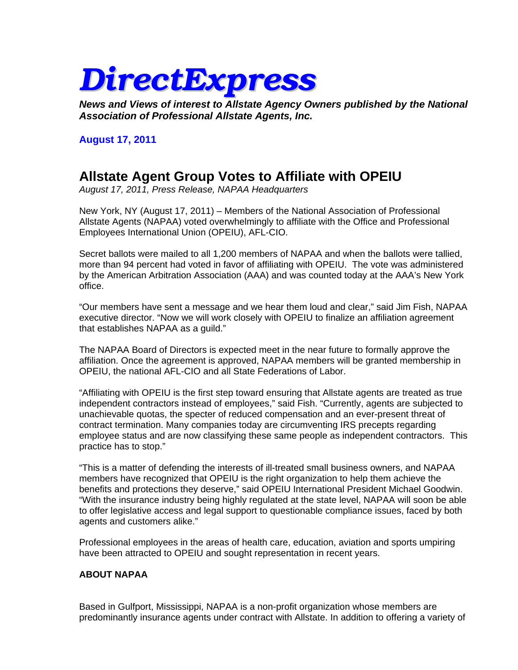# *DirectExpress*

*News and Views of interest to Allstate Agency Owners published by the National Association of Professional Allstate Agents, Inc.*

### **August 17, 2011**

# **Allstate Agent Group Votes to Affiliate with OPEIU**

*August 17, 2011, Press Release, NAPAA Headquarters* 

New York, NY (August 17, 2011) – Members of the National Association of Professional Allstate Agents (NAPAA) voted overwhelmingly to affiliate with the Office and Professional Employees International Union (OPEIU), AFL-CIO.

Secret ballots were mailed to all 1,200 members of NAPAA and when the ballots were tallied, more than 94 percent had voted in favor of affiliating with OPEIU. The vote was administered by the American Arbitration Association (AAA) and was counted today at the AAA's New York office.

"Our members have sent a message and we hear them loud and clear," said Jim Fish, NAPAA executive director. "Now we will work closely with OPEIU to finalize an affiliation agreement that establishes NAPAA as a guild."

The NAPAA Board of Directors is expected meet in the near future to formally approve the affiliation. Once the agreement is approved, NAPAA members will be granted membership in OPEIU, the national AFL-CIO and all State Federations of Labor.

"Affiliating with OPEIU is the first step toward ensuring that Allstate agents are treated as true independent contractors instead of employees," said Fish. "Currently, agents are subjected to unachievable quotas, the specter of reduced compensation and an ever-present threat of contract termination. Many companies today are circumventing IRS precepts regarding employee status and are now classifying these same people as independent contractors. This practice has to stop."

"This is a matter of defending the interests of ill-treated small business owners, and NAPAA members have recognized that OPEIU is the right organization to help them achieve the benefits and protections they deserve," said OPEIU International President Michael Goodwin. "With the insurance industry being highly regulated at the state level, NAPAA will soon be able to offer legislative access and legal support to questionable compliance issues, faced by both agents and customers alike."

Professional employees in the areas of health care, education, aviation and sports umpiring have been attracted to OPEIU and sought representation in recent years.

#### **ABOUT NAPAA**

Based in Gulfport, Mississippi, NAPAA is a non-profit organization whose members are predominantly insurance agents under contract with Allstate. In addition to offering a variety of